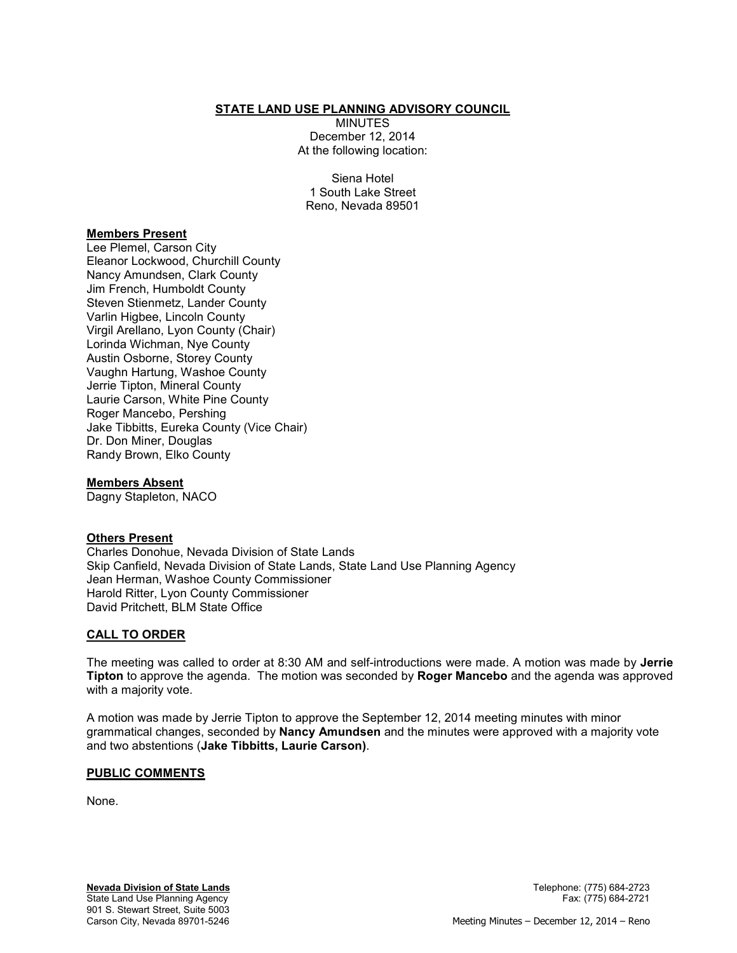### **STATE LAND USE PLANNING ADVISORY COUNCIL**

MINUTES December 12, 2014 At the following location:

Siena Hotel 1 South Lake Street Reno, Nevada 89501

### **Members Present**

Lee Plemel, Carson City Eleanor Lockwood, Churchill County Nancy Amundsen, Clark County Jim French, Humboldt County Steven Stienmetz, Lander County Varlin Higbee, Lincoln County Virgil Arellano, Lyon County (Chair) Lorinda Wichman, Nye County Austin Osborne, Storey County Vaughn Hartung, Washoe County Jerrie Tipton, Mineral County Laurie Carson, White Pine County Roger Mancebo, Pershing Jake Tibbitts, Eureka County (Vice Chair) Dr. Don Miner, Douglas Randy Brown, Elko County

#### **Members Absent**

Dagny Stapleton, NACO

### **Others Present**

Charles Donohue, Nevada Division of State Lands Skip Canfield, Nevada Division of State Lands, State Land Use Planning Agency Jean Herman, Washoe County Commissioner Harold Ritter, Lyon County Commissioner David Pritchett, BLM State Office

### **CALL TO ORDER**

The meeting was called to order at 8:30 AM and self-introductions were made. A motion was made by **Jerrie Tipton** to approve the agenda. The motion was seconded by **Roger Mancebo** and the agenda was approved with a majority vote.

A motion was made by Jerrie Tipton to approve the September 12, 2014 meeting minutes with minor grammatical changes, seconded by **Nancy Amundsen** and the minutes were approved with a majority vote and two abstentions (**Jake Tibbitts, Laurie Carson)**.

#### **PUBLIC COMMENTS**

None.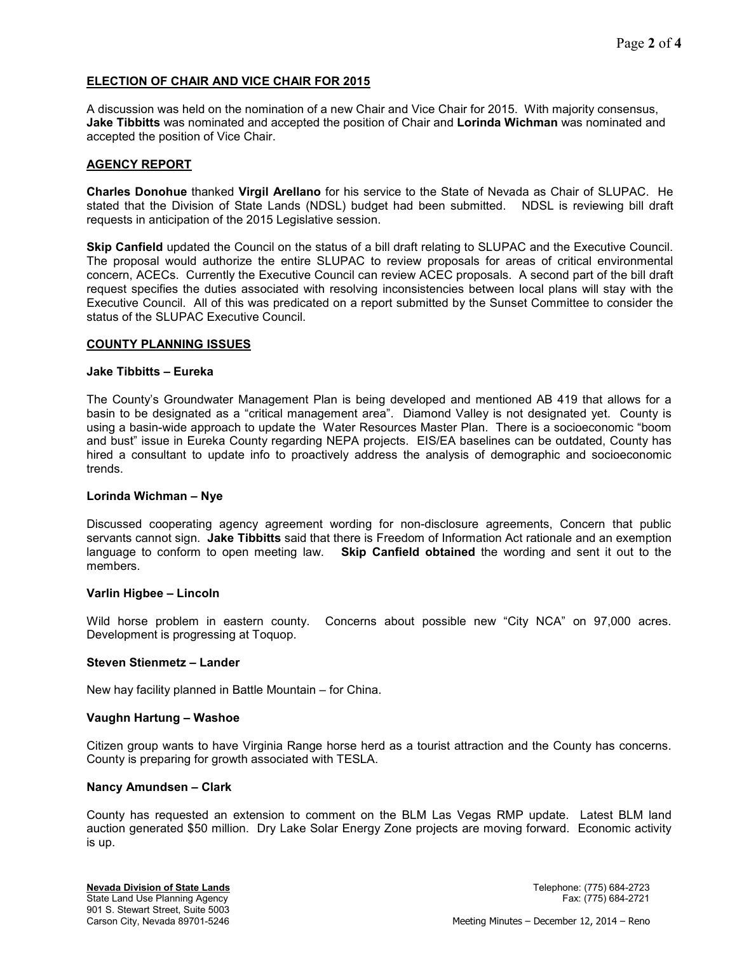# **ELECTION OF CHAIR AND VICE CHAIR FOR 2015**

A discussion was held on the nomination of a new Chair and Vice Chair for 2015. With majority consensus, **Jake Tibbitts** was nominated and accepted the position of Chair and **Lorinda Wichman** was nominated and accepted the position of Vice Chair.

### **AGENCY REPORT**

**Charles Donohue** thanked **Virgil Arellano** for his service to the State of Nevada as Chair of SLUPAC. He stated that the Division of State Lands (NDSL) budget had been submitted. NDSL is reviewing bill draft requests in anticipation of the 2015 Legislative session.

**Skip Canfield** updated the Council on the status of a bill draft relating to SLUPAC and the Executive Council. The proposal would authorize the entire SLUPAC to review proposals for areas of critical environmental concern, ACECs. Currently the Executive Council can review ACEC proposals. A second part of the bill draft request specifies the duties associated with resolving inconsistencies between local plans will stay with the Executive Council. All of this was predicated on a report submitted by the Sunset Committee to consider the status of the SLUPAC Executive Council.

### **COUNTY PLANNING ISSUES**

#### **Jake Tibbitts – Eureka**

The County's Groundwater Management Plan is being developed and mentioned AB 419 that allows for a basin to be designated as a "critical management area". Diamond Valley is not designated yet. County is using a basin-wide approach to update the Water Resources Master Plan. There is a socioeconomic "boom and bust" issue in Eureka County regarding NEPA projects. EIS/EA baselines can be outdated, County has hired a consultant to update info to proactively address the analysis of demographic and socioeconomic trends.

### **Lorinda Wichman – Nye**

Discussed cooperating agency agreement wording for non-disclosure agreements, Concern that public servants cannot sign. **Jake Tibbitts** said that there is Freedom of Information Act rationale and an exemption language to conform to open meeting law. **Skip Canfield obtained** the wording and sent it out to the members.

#### **Varlin Higbee – Lincoln**

Wild horse problem in eastern county. Concerns about possible new "City NCA" on 97,000 acres. Development is progressing at Toquop.

### **Steven Stienmetz – Lander**

New hay facility planned in Battle Mountain – for China.

#### **Vaughn Hartung – Washoe**

Citizen group wants to have Virginia Range horse herd as a tourist attraction and the County has concerns. County is preparing for growth associated with TESLA.

### **Nancy Amundsen – Clark**

County has requested an extension to comment on the BLM Las Vegas RMP update. Latest BLM land auction generated \$50 million. Dry Lake Solar Energy Zone projects are moving forward. Economic activity is up.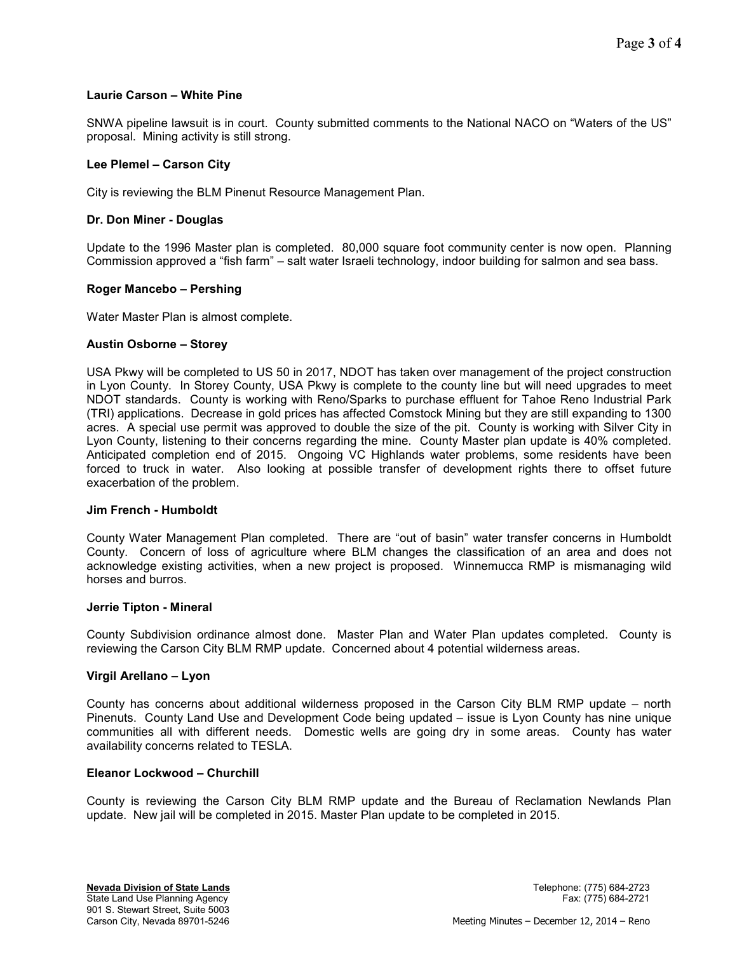### **Laurie Carson – White Pine**

SNWA pipeline lawsuit is in court. County submitted comments to the National NACO on "Waters of the US" proposal. Mining activity is still strong.

### **Lee Plemel – Carson City**

City is reviewing the BLM Pinenut Resource Management Plan.

# **Dr. Don Miner - Douglas**

Update to the 1996 Master plan is completed. 80,000 square foot community center is now open. Planning Commission approved a "fish farm" – salt water Israeli technology, indoor building for salmon and sea bass.

# **Roger Mancebo – Pershing**

Water Master Plan is almost complete.

### **Austin Osborne – Storey**

USA Pkwy will be completed to US 50 in 2017, NDOT has taken over management of the project construction in Lyon County. In Storey County, USA Pkwy is complete to the county line but will need upgrades to meet NDOT standards. County is working with Reno/Sparks to purchase effluent for Tahoe Reno Industrial Park (TRI) applications. Decrease in gold prices has affected Comstock Mining but they are still expanding to 1300 acres. A special use permit was approved to double the size of the pit. County is working with Silver City in Lyon County, listening to their concerns regarding the mine. County Master plan update is 40% completed. Anticipated completion end of 2015. Ongoing VC Highlands water problems, some residents have been forced to truck in water. Also looking at possible transfer of development rights there to offset future exacerbation of the problem.

### **Jim French - Humboldt**

County Water Management Plan completed. There are "out of basin" water transfer concerns in Humboldt County. Concern of loss of agriculture where BLM changes the classification of an area and does not acknowledge existing activities, when a new project is proposed. Winnemucca RMP is mismanaging wild horses and burros.

### **Jerrie Tipton - Mineral**

County Subdivision ordinance almost done. Master Plan and Water Plan updates completed. County is reviewing the Carson City BLM RMP update. Concerned about 4 potential wilderness areas.

### **Virgil Arellano – Lyon**

County has concerns about additional wilderness proposed in the Carson City BLM RMP update – north Pinenuts. County Land Use and Development Code being updated – issue is Lyon County has nine unique communities all with different needs. Domestic wells are going dry in some areas. County has water availability concerns related to TESLA.

### **Eleanor Lockwood – Churchill**

County is reviewing the Carson City BLM RMP update and the Bureau of Reclamation Newlands Plan update. New jail will be completed in 2015. Master Plan update to be completed in 2015.